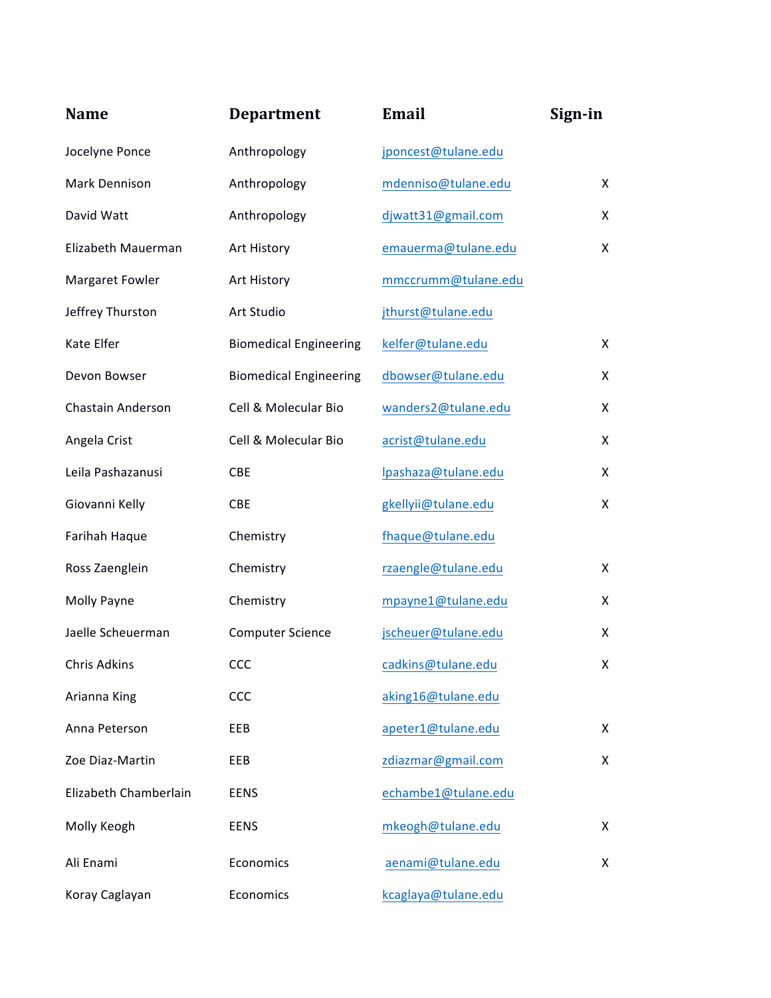| <b>Name</b>           | <b>Department</b>             | Email               | Sign-in |
|-----------------------|-------------------------------|---------------------|---------|
| Jocelyne Ponce        | Anthropology                  | jponcest@tulane.edu |         |
| Mark Dennison         | Anthropology                  | mdenniso@tulane.edu | X       |
| David Watt            | Anthropology                  | djwatt31@gmail.com  | X       |
| Elizabeth Mauerman    | Art History                   | emauerma@tulane.edu | X       |
| Margaret Fowler       | Art History                   | mmccrumm@tulane.edu |         |
| Jeffrey Thurston      | Art Studio                    | jthurst@tulane.edu  |         |
| Kate Elfer            | <b>Biomedical Engineering</b> | kelfer@tulane.edu   | X       |
| Devon Bowser          | <b>Biomedical Engineering</b> | dbowser@tulane.edu  | X       |
| Chastain Anderson     | Cell & Molecular Bio          | wanders2@tulane.edu | X       |
| Angela Crist          | Cell & Molecular Bio          | acrist@tulane.edu   | X       |
| Leila Pashazanusi     | <b>CBE</b>                    | lpashaza@tulane.edu | X       |
| Giovanni Kelly        | CBE                           | gkellyii@tulane.edu | X.      |
| Farihah Haque         | Chemistry                     | fhaque@tulane.edu   |         |
| Ross Zaenglein        | Chemistry                     | rzaengle@tulane.edu | X       |
| Molly Payne           | Chemistry                     | mpayne1@tulane.edu  | X       |
| Jaelle Scheuerman     | <b>Computer Science</b>       | jscheuer@tulane.edu | X       |
| Chris Adkins          | <b>CCC</b>                    | cadkins@tulane.edu  | X       |
| Arianna King          | CCC                           | aking16@tulane.edu  |         |
| Anna Peterson         | EEB                           | apeter1@tulane.edu  | X       |
| Zoe Diaz-Martin       | EEB                           | zdiazmar@gmail.com  | X       |
| Elizabeth Chamberlain | <b>EENS</b>                   | echambe1@tulane.edu |         |
| Molly Keogh           | <b>EENS</b>                   | mkeogh@tulane.edu   | X       |
| Ali Enami             | Economics                     | aenami@tulane.edu   | X       |
| Koray Caglayan        | Economics                     | kcaglaya@tulane.edu |         |